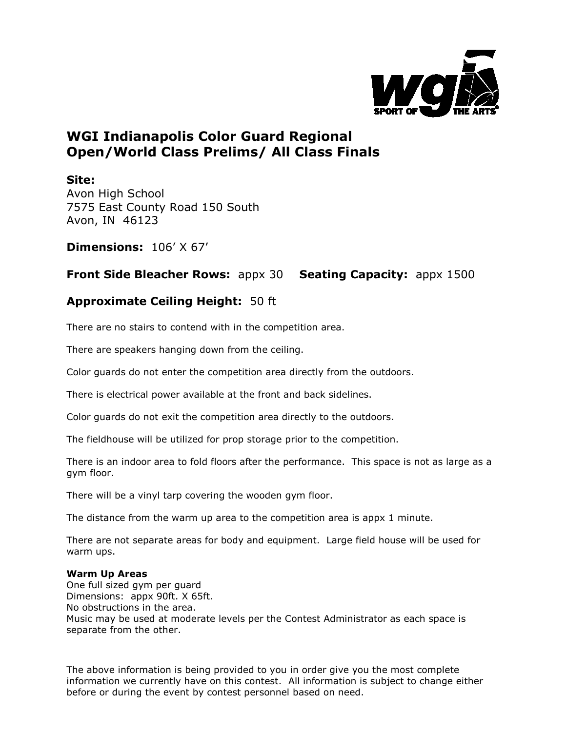

## **WGI Indianapolis Color Guard Regional Open/World Class Prelims/ All Class Finals**

**Site:**

Avon High School 7575 East County Road 150 South Avon, IN 46123

**Dimensions:** 106' X 67'

**Front Side Bleacher Rows:** appx 30 **Seating Capacity:** appx 1500

## **Approximate Ceiling Height:** 50 ft

There are no stairs to contend with in the competition area.

There are speakers hanging down from the ceiling.

Color guards do not enter the competition area directly from the outdoors.

There is electrical power available at the front and back sidelines.

Color guards do not exit the competition area directly to the outdoors.

The fieldhouse will be utilized for prop storage prior to the competition.

There is an indoor area to fold floors after the performance. This space is not as large as a gym floor.

There will be a vinyl tarp covering the wooden gym floor.

The distance from the warm up area to the competition area is appx 1 minute.

There are not separate areas for body and equipment. Large field house will be used for warm ups.

## **Warm Up Areas**

One full sized gym per guard Dimensions: appx 90ft. X 65ft. No obstructions in the area. Music may be used at moderate levels per the Contest Administrator as each space is separate from the other.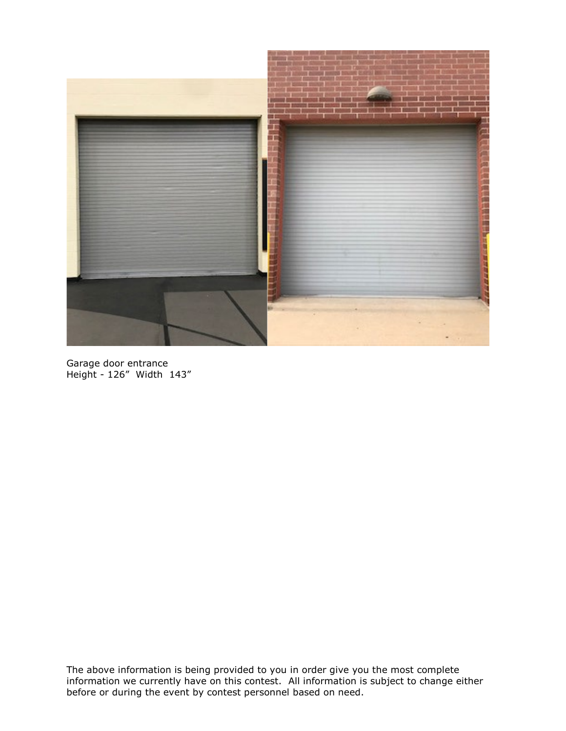

Garage door entrance Height - 126" Width 143"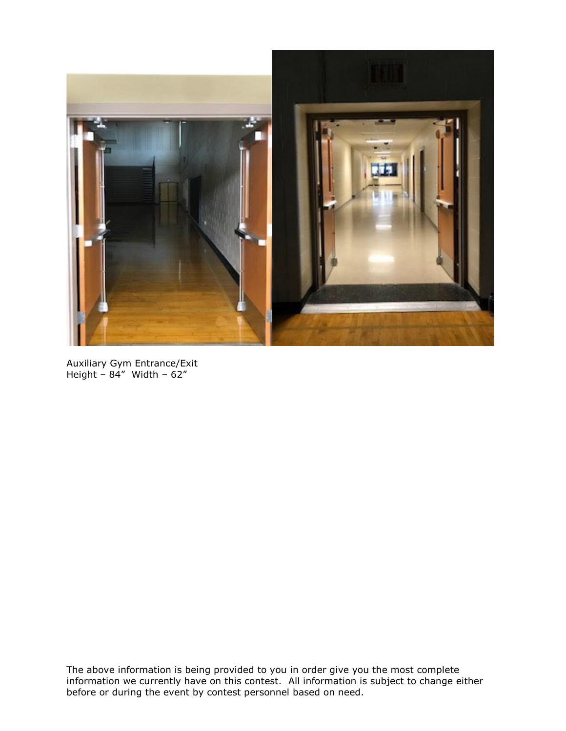

Auxiliary Gym Entrance/Exit Height – 84" Width – 62"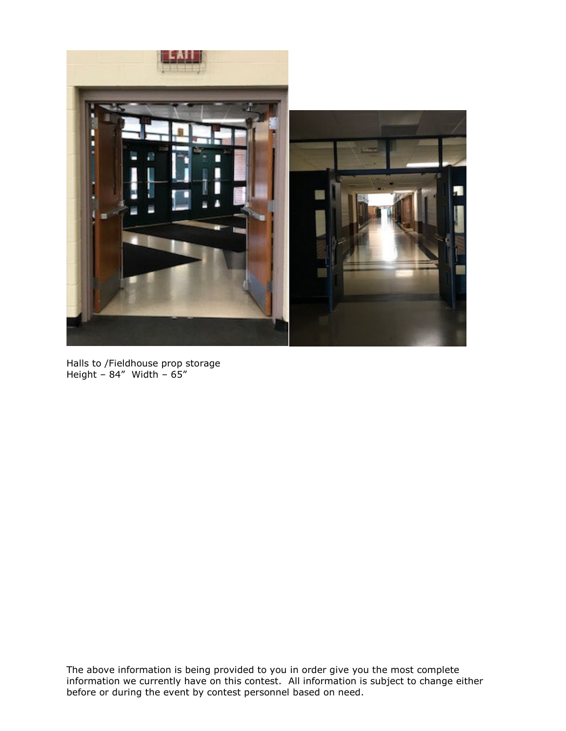

Halls to /Fieldhouse prop storage Height – 84" Width – 65"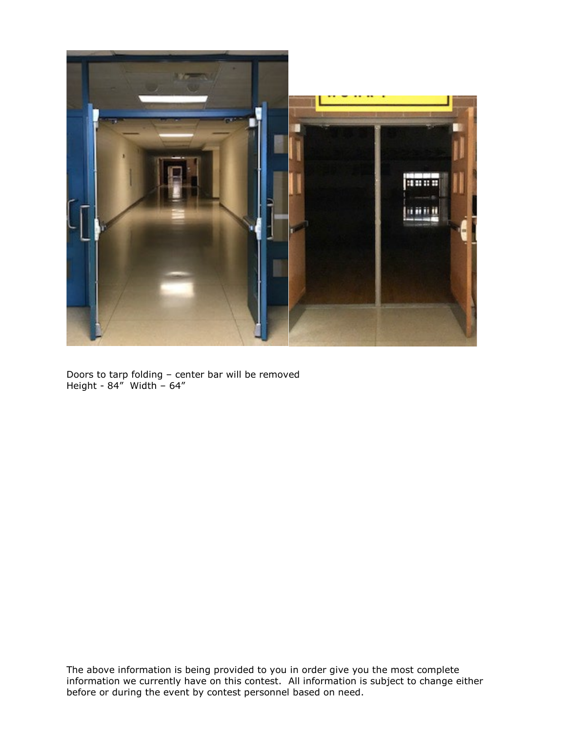

Doors to tarp folding – center bar will be removed Height - 84" Width – 64"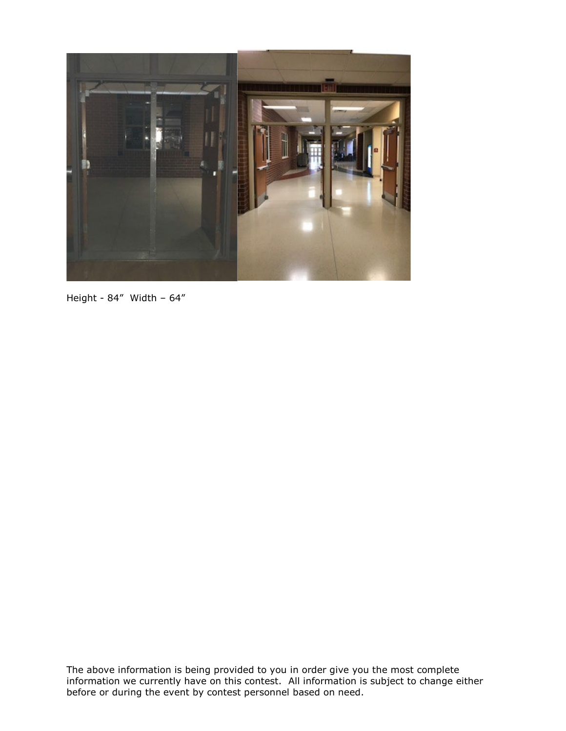

Height - 84" Width – 64"